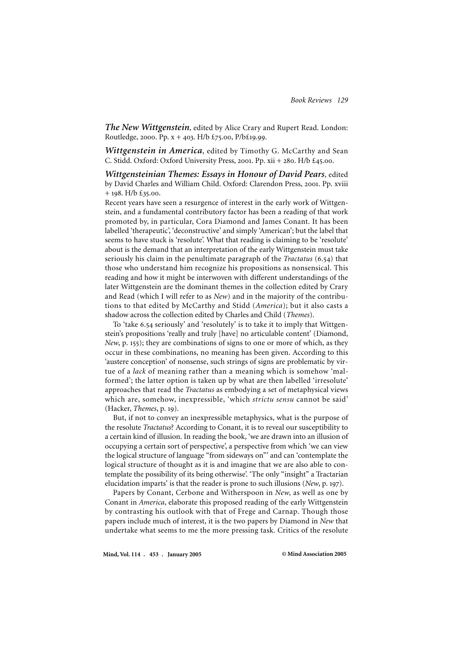*The New Wittgenstein*, edited by Alice Crary and Rupert Read. London: Routledge, 2000. Pp. x + 403. H/b £75.00, P/b£19.99.

*Wittgenstein in America*, edited by Timothy G. McCarthy and Sean C. Stidd. Oxford: Oxford University Press, 2001. Pp. xii + 280. H/b £45.00.

*Wittgensteinian Themes: Essays in Honour of David Pears*, edited by David Charles and William Child. Oxford: Clarendon Press, 2001. Pp. xviii  $+$  198. H/b £35.00.

Recent years have seen a resurgence of interest in the early work of Wittgenstein, and a fundamental contributory factor has been a reading of that work promoted by, in particular, Cora Diamond and James Conant. It has been labelled 'therapeutic', 'deconstructive' and simply 'American'; but the label that seems to have stuck is 'resolute'. What that reading is claiming to be 'resolute' about is the demand that an interpretation of the early Wittgenstein must take seriously his claim in the penultimate paragraph of the *Tractatus* (6.54) that those who understand him recognize his propositions as nonsensical. This reading and how it might be interwoven with different understandings of the later Wittgenstein are the dominant themes in the collection edited by Crary and Read (which I will refer to as *New*) and in the majority of the contributions to that edited by McCarthy and Stidd (*America*); but it also casts a shadow across the collection edited by Charles and Child (*Themes*).

To 'take 6.54 seriously' and 'resolutely' is to take it to imply that Wittgenstein's propositions 'really and truly [have] no articulable content' (Diamond, *New*, p. 155); they are combinations of signs to one or more of which, as they occur in these combinations, no meaning has been given. According to this 'austere conception' of nonsense, such strings of signs are problematic by virtue of a *lack* of meaning rather than a meaning which is somehow 'malformed'; the latter option is taken up by what are then labelled 'irresolute' approaches that read the *Tractatus* as embodying a set of metaphysical views which are, somehow, inexpressible, 'which *strictu sensu* cannot be said' (Hacker, *Themes*, p. 19).

But, if not to convey an inexpressible metaphysics, what is the purpose of the resolute *Tractatus*? According to Conant, it is to reveal our susceptibility to a certain kind of illusion. In reading the book, 'we are drawn into an illusion of occupying a certain sort of perspective', a perspective from which 'we can view the logical structure of language "from sideways on"' and can 'contemplate the logical structure of thought as it is and imagine that we are also able to contemplate the possibility of its being otherwise'. 'The only "insight" a Tractarian elucidation imparts' is that the reader is prone to such illusions (*New*, p. 197).

Papers by Conant, Cerbone and Witherspoon in *New*, as well as one by Conant in *America*, elaborate this proposed reading of the early Wittgenstein by contrasting his outlook with that of Frege and Carnap. Though those papers include much of interest, it is the two papers by Diamond in *New* that undertake what seems to me the more pressing task. Critics of the resolute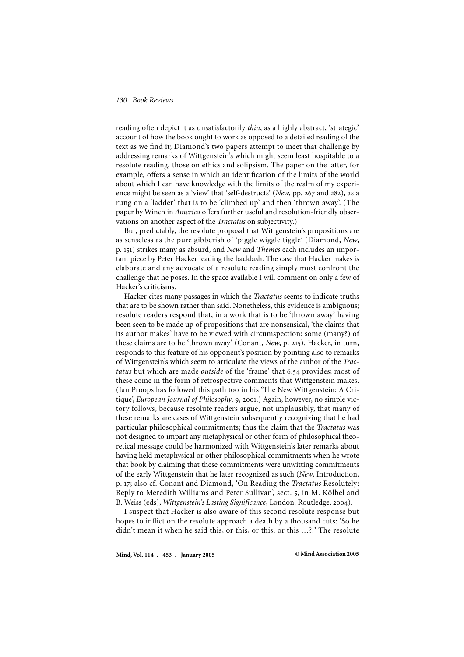reading often depict it as unsatisfactorily *thin*, as a highly abstract, 'strategic' account of how the book ought to work as opposed to a detailed reading of the text as we find it; Diamond's two papers attempt to meet that challenge by addressing remarks of Wittgenstein's which might seem least hospitable to a resolute reading, those on ethics and solipsism. The paper on the latter, for example, offers a sense in which an identification of the limits of the world about which I can have knowledge with the limits of the realm of my experience might be seen as a 'view' that 'self-destructs' (*New*, pp. 267 and 282), as a rung on a 'ladder' that is to be 'climbed up' and then 'thrown away'. (The paper by Winch in *America* offers further useful and resolution-friendly observations on another aspect of the *Tractatus* on subjectivity.)

But, predictably, the resolute proposal that Wittgenstein's propositions are as senseless as the pure gibberish of 'piggle wiggle tiggle' (Diamond, *New*, p. 151) strikes many as absurd, and *New* and *Themes* each includes an important piece by Peter Hacker leading the backlash. The case that Hacker makes is elaborate and any advocate of a resolute reading simply must confront the challenge that he poses. In the space available I will comment on only a few of Hacker's criticisms.

Hacker cites many passages in which the *Tractatus* seems to indicate truths that are to be shown rather than said. Nonetheless, this evidence is ambiguous; resolute readers respond that, in a work that is to be 'thrown away' having been seen to be made up of propositions that are nonsensical, 'the claims that its author makes' have to be viewed with circumspection: some (many?) of these claims are to be 'thrown away' (Conant, *New*, p. 215). Hacker, in turn, responds to this feature of his opponent's position by pointing also to remarks of Wittgenstein's which seem to articulate the views of the author of the *Tractatus* but which are made *outside* of the 'frame' that 6.54 provides; most of these come in the form of retrospective comments that Wittgenstein makes. (Ian Proops has followed this path too in his 'The New Wittgenstein: A Critique', *European Journal of Philosophy*, 9, 2001.) Again, however, no simple victory follows, because resolute readers argue, not implausibly, that many of these remarks are cases of Wittgenstein subsequently recognizing that he had particular philosophical commitments; thus the claim that the *Tractatus* was not designed to impart any metaphysical or other form of philosophical theoretical message could be harmonized with Wittgenstein's later remarks about having held metaphysical or other philosophical commitments when he wrote that book by claiming that these commitments were unwitting commitments of the early Wittgenstein that he later recognized as such (*New*, Introduction, p. 17; also cf. Conant and Diamond, 'On Reading the *Tractatus* Resolutely: Reply to Meredith Williams and Peter Sullivan', sect. 5, in M. Kölbel and B. Weiss (eds), *Wittgenstein's Lasting Significance*, London: Routledge, 2004).

I suspect that Hacker is also aware of this second resolute response but hopes to inflict on the resolute approach a death by a thousand cuts: 'So he didn't mean it when he said this, or this, or this, or this …?!' The resolute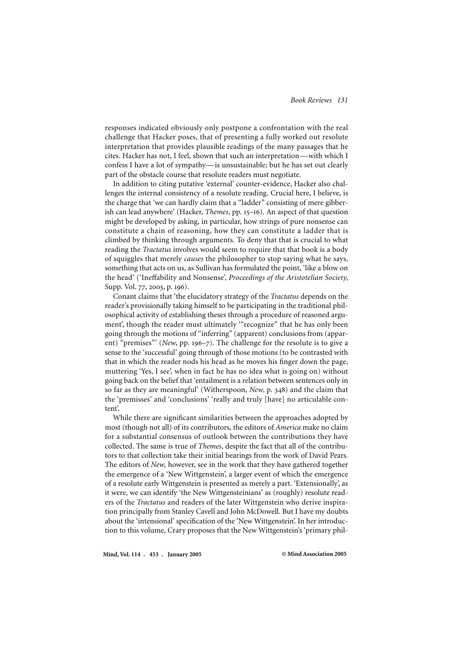responses indicated obviously only postpone a confrontation with the real challenge that Hacker poses, that of presenting a fully worked out resolute interpretation that provides plausible readings of the many passages that he cites. Hacker has not, I feel, shown that such an interpretation—with which I confess I have a lot of sympathy—is unsustainable; but he has set out clearly part of the obstacle course that resolute readers must negotiate.

In addition to citing putative 'external' counter-evidence, Hacker also challenges the internal consistency of a resolute reading. Crucial here, I believe, is the charge that 'we can hardly claim that a "ladder" consisting of mere gibberish can lead anywhere' (Hacker, *Themes*, pp. 15–16). An aspect of that question might be developed by asking, in particular, how strings of pure nonsense can constitute a chain of reasoning, how they can constitute a ladder that is climbed by thinking through arguments. To deny that that is crucial to what reading the *Tractatus* involves would seem to require that that book is a body of squiggles that merely *causes* the philosopher to stop saying what he says, something that acts on us, as Sullivan has formulated the point, 'like a blow on the head' ('Ineffability and Nonsense', *Proceedings of the Aristotelian Society*, Supp. Vol. 77, 2003, p. 196).

Conant claims that 'the elucidatory strategy of the *Tractatus* depends on the reader's provisionally taking himself to be participating in the traditional philosophical activity of establishing theses through a procedure of reasoned argument', though the reader must ultimately '"recognize" that he has only been going through the motions of "inferring" (apparent) conclusions from (apparent) "premises"' (*New*, pp. 196–7). The challenge for the resolute is to give a sense to the 'successful' going through of those motions (to be contrasted with that in which the reader nods his head as he moves his finger down the page, muttering 'Yes, I see', when in fact he has no idea what is going on) without going back on the belief that 'entailment is a relation between sentences only in so far as they are meaningful' (Witherspoon, *New*, p. 348) and the claim that the 'premisses' and 'conclusions' 'really and truly [have] no articulable content'.

While there are significant similarities between the approaches adopted by most (though not all) of its contributors, the editors of *America* make no claim for a substantial consensus of outlook between the contributions they have collected. The same is true of *Themes*, despite the fact that all of the contributors to that collection take their initial bearings from the work of David Pears. The editors of *New*, however, see in the work that they have gathered together the emergence of a 'New Wittgenstein', a larger event of which the emergence of a resolute early Wittgenstein is presented as merely a part. 'Extensionally', as it were, we can identify 'the New Wittgensteinians' as (roughly) resolute readers of the *Tractatus* and readers of the later Wittgenstein who derive inspiration principally from Stanley Cavell and John McDowell. But I have my doubts about the 'intensional' specification of the 'New Wittgenstein'. In her introduction to this volume, Crary proposes that the New Wittgenstein's 'primary phil-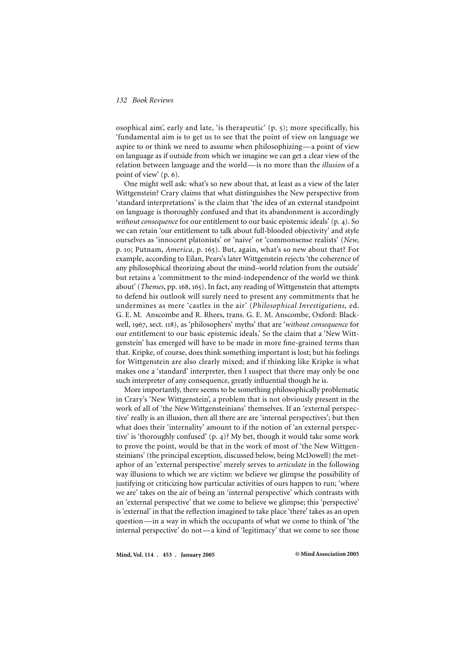osophical aim', early and late, 'is therapeutic' (p. 5); more specifically, his 'fundamental aim is to get us to see that the point of view on language we aspire to or think we need to assume when philosophizing—a point of view on language as if outside from which we imagine we can get a clear view of the relation between language and the world—is no more than the *illusion* of a point of view' (p. 6).

One might well ask: what's so new about that, at least as a view of the later Wittgenstein? Crary claims that what distinguishes the New perspective from 'standard interpretations' is the claim that 'the idea of an external standpoint on language is thoroughly confused and that its abandonment is accordingly *without consequence* for our entitlement to our basic epistemic ideals' (p. 4). So we can retain 'our entitlement to talk about full-blooded objectivity' and style ourselves as 'innocent platonists' or 'naive' or 'commonsense realists' (*New*, p. 10; Putnam, *America*, p. 165). But, again, what's so new about that? For example, according to Eilan, Pears's later Wittgenstein rejects 'the coherence of any philosophical theorizing about the mind–world relation from the outside' but retains a 'commitment to the mind-independence of the world we think about' (*Themes*, pp. 168, 165). In fact, any reading of Wittgenstein that attempts to defend his outlook will surely need to present any commitments that he undermines as mere 'castles in the air' (*Philosophical Investigations,* ed. G. E. M. Anscombe and R. Rhees, trans. G. E. M. Anscombe, Oxford: Blackwell, 1967, sect. 118), as 'philosophers' myths' that are '*without consequence* for our entitlement to our basic epistemic ideals.' So the claim that a 'New Wittgenstein' has emerged will have to be made in more fine-grained terms than that. Kripke, of course, does think something important is lost; but his feelings for Wittgenstein are also clearly mixed; and if thinking like Kripke is what makes one a 'standard' interpreter, then I suspect that there may only be one such interpreter of any consequence, greatly influential though he is.

More importantly, there seems to be something philosophically problematic in Crary's 'New Wittgenstein', a problem that is not obviously present in the work of all of 'the New Wittgensteinians' themselves. If an 'external perspective' really is an illusion, then all there are are 'internal perspectives'; but then what does their 'internality' amount to if the notion of 'an external perspective' is 'thoroughly confused' (p. 4)? My bet, though it would take some work to prove the point, would be that in the work of most of 'the New Wittgensteinians' (the principal exception, discussed below, being McDowell) the metaphor of an 'external perspective' merely serves to *articulate* in the following way illusions to which we are victim: we believe we glimpse the possibility of justifying or criticizing how particular activities of ours happen to run; 'where we are' takes on the air of being an 'internal perspective' which contrasts with an 'external perspective' that we come to believe we glimpse; this 'perspective' is 'external' in that the reflection imagined to take place 'there' takes as an open question—in a way in which the occupants of what we come to think of 'the internal perspective' do not—a kind of 'legitimacy' that we come to see those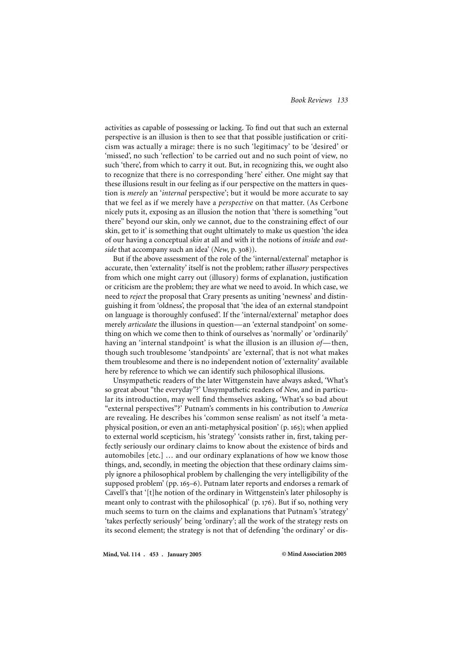activities as capable of possessing or lacking. To find out that such an external perspective is an illusion is then to see that that possible justification or criticism was actually a mirage: there is no such 'legitimacy' to be 'desired' or 'missed', no such 'reflection' to be carried out and no such point of view, no such 'there', from which to carry it out. But, in recognizing this, we ought also to recognize that there is no corresponding 'here' either. One might say that these illusions result in our feeling as if our perspective on the matters in question is *merely* an '*internal* perspective'; but it would be more accurate to say that we feel as if we merely have a *perspective* on that matter. (As Cerbone nicely puts it, exposing as an illusion the notion that 'there is something "out there" beyond our skin, only we cannot, due to the constraining effect of our skin, get to it' is something that ought ultimately to make us question 'the idea of our having a conceptual *skin* at all and with it the notions of *inside* and *outside* that accompany such an idea' (*New*, p. 308)).

But if the above assessment of the role of the 'internal/external' metaphor is accurate, then 'externality' itself is not the problem; rather *illusory* perspectives from which one might carry out (illusory) forms of explanation, justification or criticism are the problem; they are what we need to avoid. In which case, we need to *reject* the proposal that Crary presents as uniting 'newness' and distinguishing it from 'oldness', the proposal that 'the idea of an external standpoint on language is thoroughly confused'. If the 'internal/external' metaphor does merely *articulate* the illusions in question—an 'external standpoint' on something on which we come then to think of ourselves as 'normally' or 'ordinarily' having an 'internal standpoint' is what the illusion is an illusion *of*—then, though such troublesome 'standpoints' are 'external', that is not what makes them troublesome and there is no independent notion of 'externality' available here by reference to which we can identify such philosophical illusions.

Unsympathetic readers of the later Wittgenstein have always asked, 'What's so great about "the everyday"?' Unsympathetic readers of *New*, and in particular its introduction, may well find themselves asking, 'What's so bad about "external perspectives"?' Putnam's comments in his contribution to *America* are revealing. He describes his 'common sense realism' as not itself 'a metaphysical position, or even an anti-metaphysical position' (p. 165); when applied to external world scepticism, his 'strategy' 'consists rather in, first, taking perfectly seriously our ordinary claims to know about the existence of birds and automobiles [etc.] … and our ordinary explanations of how we know those things, and, secondly, in meeting the objection that these ordinary claims simply ignore a philosophical problem by challenging the very intelligibility of the supposed problem' (pp. 165–6). Putnam later reports and endorses a remark of Cavell's that '[t]he notion of the ordinary in Wittgenstein's later philosophy is meant only to contrast with the philosophical' (p. 176). But if so, nothing very much seems to turn on the claims and explanations that Putnam's 'strategy' 'takes perfectly seriously' being 'ordinary'; all the work of the strategy rests on its second element; the strategy is not that of defending 'the ordinary' or dis-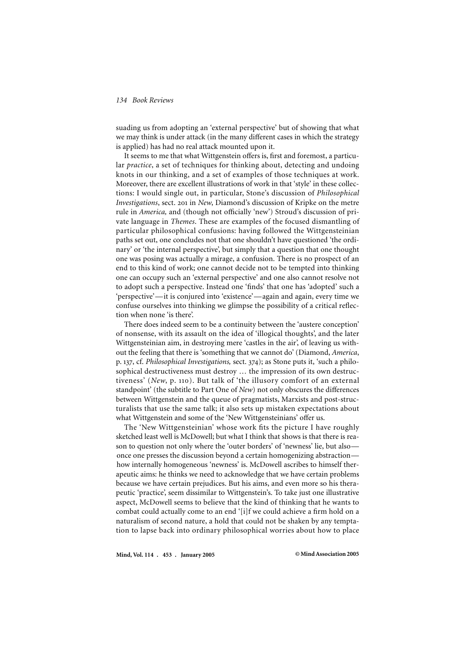suading us from adopting an 'external perspective' but of showing that what we may think is under attack (in the many different cases in which the strategy is applied) has had no real attack mounted upon it.

It seems to me that what Wittgenstein offers is, first and foremost, a particular *practice*, a set of techniques for thinking about, detecting and undoing knots in our thinking, and a set of examples of those techniques at work. Moreover, there are excellent illustrations of work in that 'style' in these collections: I would single out, in particular, Stone's discussion of *Philosophical Investigations*, sect. 201 in *New*, Diamond's discussion of Kripke on the metre rule in *America,* and (though not officially 'new') Stroud's discussion of private language in *Themes*. These are examples of the focused dismantling of particular philosophical confusions: having followed the Wittgensteinian paths set out, one concludes not that one shouldn't have questioned 'the ordinary' or 'the internal perspective', but simply that a question that one thought one was posing was actually a mirage, a confusion. There is no prospect of an end to this kind of work; one cannot decide not to be tempted into thinking one can occupy such an 'external perspective' and one also cannot resolve not to adopt such a perspective. Instead one 'finds' that one has 'adopted' such a 'perspective'—it is conjured into 'existence'—again and again, every time we confuse ourselves into thinking we glimpse the possibility of a critical reflection when none 'is there'.

There does indeed seem to be a continuity between the 'austere conception' of nonsense, with its assault on the idea of 'illogical thoughts', and the later Wittgensteinian aim, in destroying mere 'castles in the air', of leaving us without the feeling that there is 'something that we cannot do' (Diamond, *America*, p. 137, cf. *Philosophical Investigations,* sect. 374); as Stone puts it, 'such a philosophical destructiveness must destroy … the impression of its own destructiveness' (*New*, p. 110). But talk of 'the illusory comfort of an external standpoint' (the subtitle to Part One of *New*) not only obscures the differences between Wittgenstein and the queue of pragmatists, Marxists and post-structuralists that use the same talk; it also sets up mistaken expectations about what Wittgenstein and some of the 'New Wittgensteinians' offer us.

The 'New Wittgensteinian' whose work fits the picture I have roughly sketched least well is McDowell; but what I think that shows is that there is reason to question not only where the 'outer borders' of 'newness' lie, but also once one presses the discussion beyond a certain homogenizing abstraction how internally homogeneous 'newness' is. McDowell ascribes to himself therapeutic aims: he thinks we need to acknowledge that we have certain problems because we have certain prejudices. But his aims, and even more so his therapeutic 'practice', seem dissimilar to Wittgenstein's. To take just one illustrative aspect, McDowell seems to believe that the kind of thinking that he wants to combat could actually come to an end '[i]f we could achieve a firm hold on a naturalism of second nature, a hold that could not be shaken by any temptation to lapse back into ordinary philosophical worries about how to place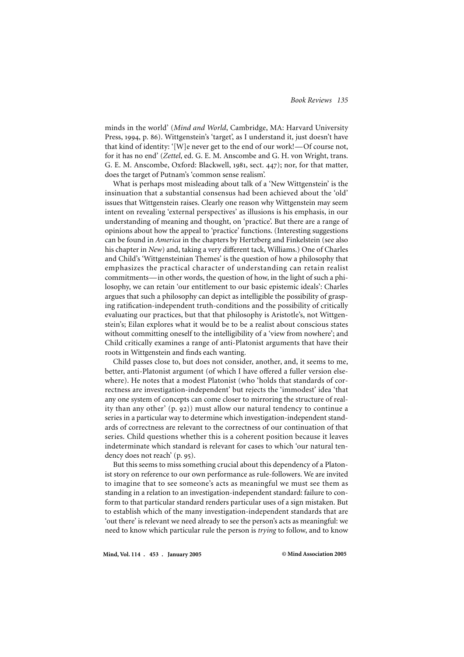minds in the world' (*Mind and World*, Cambridge, MA: Harvard University Press, 1994, p. 86). Wittgenstein's 'target', as I understand it, just doesn't have that kind of identity: '[W]e never get to the end of our work!—Of course not, for it has no end' (*Zettel*, ed. G. E. M. Anscombe and G. H. von Wright, trans. G. E. M. Anscombe, Oxford: Blackwell, 1981, sect. 447); nor, for that matter, does the target of Putnam's 'common sense realism'.

What is perhaps most misleading about talk of a 'New Wittgenstein' is the insinuation that a substantial consensus had been achieved about the 'old' issues that Wittgenstein raises. Clearly one reason why Wittgenstein may seem intent on revealing 'external perspectives' as illusions is his emphasis, in our understanding of meaning and thought, on 'practice'. But there are a range of opinions about how the appeal to 'practice' functions. (Interesting suggestions can be found in *America* in the chapters by Hertzberg and Finkelstein (see also his chapter in *New*) and, taking a very different tack, Williams.) One of Charles and Child's 'Wittgensteinian Themes' is the question of how a philosophy that emphasizes the practical character of understanding can retain realist commitments—in other words, the question of how, in the light of such a philosophy, we can retain 'our entitlement to our basic epistemic ideals': Charles argues that such a philosophy can depict as intelligible the possibility of grasping ratification-independent truth-conditions and the possibility of critically evaluating our practices, but that that philosophy is Aristotle's, not Wittgenstein's; Eilan explores what it would be to be a realist about conscious states without committing oneself to the intelligibility of a 'view from nowhere'; and Child critically examines a range of anti-Platonist arguments that have their roots in Wittgenstein and finds each wanting.

Child passes close to, but does not consider, another, and, it seems to me, better, anti-Platonist argument (of which I have offered a fuller version elsewhere). He notes that a modest Platonist (who 'holds that standards of correctness are investigation-independent' but rejects the 'immodest' idea 'that any one system of concepts can come closer to mirroring the structure of reality than any other' (p. 92)) must allow our natural tendency to continue a series in a particular way to determine which investigation-independent standards of correctness are relevant to the correctness of our continuation of that series. Child questions whether this is a coherent position because it leaves indeterminate which standard is relevant for cases to which 'our natural tendency does not reach' (p. 95).

But this seems to miss something crucial about this dependency of a Platonist story on reference to our own performance as rule-followers. We are invited to imagine that to see someone's acts as meaningful we must see them as standing in a relation to an investigation-independent standard: failure to conform to that particular standard renders particular uses of a sign mistaken. But to establish which of the many investigation-independent standards that are 'out there' is relevant we need already to see the person's acts as meaningful: we need to know which particular rule the person is *trying* to follow, and to know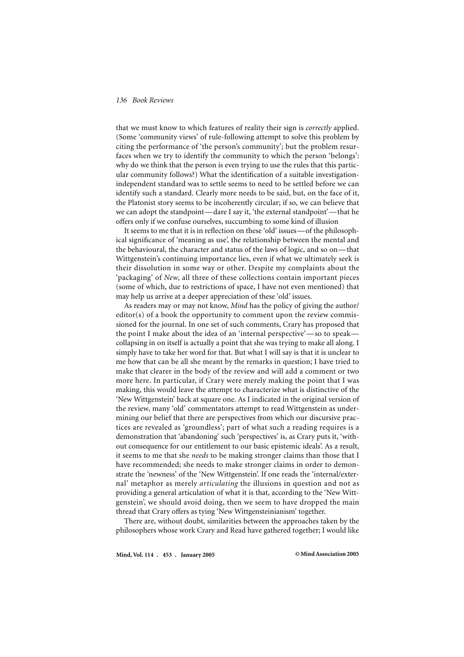that we must know to which features of reality their sign is *correctly* applied. (Some 'community views' of rule-following attempt to solve this problem by citing the performance of 'the person's community'; but the problem resurfaces when we try to identify the community to which the person 'belongs': why do we think that the person is even trying to use the rules that this particular community follows?) What the identification of a suitable investigationindependent standard was to settle seems to need to be settled before we can identify such a standard. Clearly more needs to be said, but, on the face of it, the Platonist story seems to be incoherently circular; if so, we can believe that we can adopt the standpoint—dare I say it, 'the external standpoint'—that he offers only if we confuse ourselves, succumbing to some kind of illusion

It seems to me that it is in reflection on these 'old' issues—of the philosophical significance of 'meaning as use', the relationship between the mental and the behavioural, the character and status of the laws of logic, and so on—that Wittgenstein's continuing importance lies, even if what we ultimately seek is their dissolution in some way or other. Despite my complaints about the 'packaging' of *New*, all three of these collections contain important pieces (some of which, due to restrictions of space, I have not even mentioned) that may help us arrive at a deeper appreciation of these 'old' issues.

As readers may or may not know, *Mind* has the policy of giving the author/ editor(s) of a book the opportunity to comment upon the review commissioned for the journal. In one set of such comments, Crary has proposed that the point I make about the idea of an 'internal perspective'—so to speak collapsing in on itself is actually a point that she was trying to make all along. I simply have to take her word for that. But what I will say is that it is unclear to me how that can be all she meant by the remarks in question; I have tried to make that clearer in the body of the review and will add a comment or two more here. In particular, if Crary were merely making the point that I was making, this would leave the attempt to characterize what is distinctive of the 'New Wittgenstein' back at square one. As I indicated in the original version of the review, many 'old' commentators attempt to read Wittgenstein as undermining our belief that there are perspectives from which our discursive practices are revealed as 'groundless'; part of what such a reading requires is a demonstration that 'abandoning' such 'perspectives' is, as Crary puts it, 'without consequence for our entitlement to our basic epistemic ideals'. As a result, it seems to me that she *needs* to be making stronger claims than those that I have recommended; she needs to make stronger claims in order to demonstrate the 'newness' of the 'New Wittgenstein'. If one reads the 'internal/external' metaphor as merely *articulating* the illusions in question and not as providing a general articulation of what it is that, according to the 'New Wittgenstein', we should avoid doing, then we seem to have dropped the main thread that Crary offers as tying 'New Wittgensteinianism' together.

There are, without doubt, similarities between the approaches taken by the philosophers whose work Crary and Read have gathered together; I would like